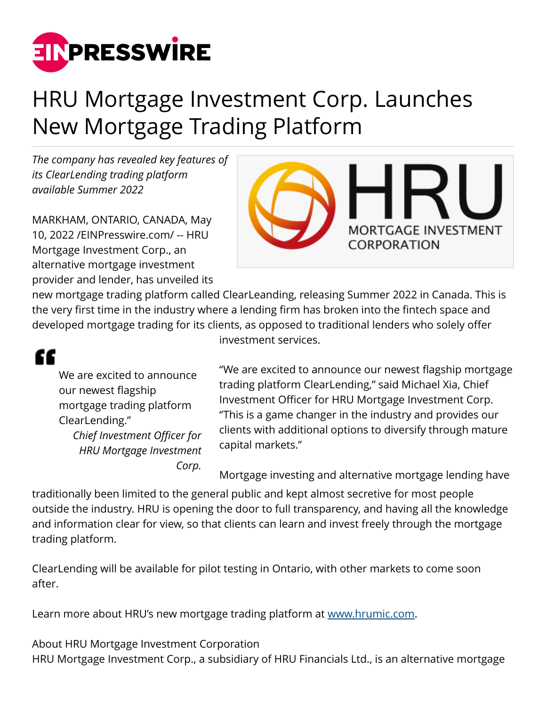

## HRU Mortgage Investment Corp. Launches New Mortgage Trading Platform

*The company has revealed key features of its ClearLending trading platform available Summer 2022*

MARKHAM, ONTARIO, CANADA, May 10, 2022 /[EINPresswire.com/](http://www.einpresswire.com) -- HRU Mortgage Investment Corp., an alternative mortgage investment provider and lender, has unveiled its



new mortgage trading platform called ClearLeanding, releasing Summer 2022 in Canada. This is the very first time in the industry where a lending firm has broken into the fintech space and developed mortgage trading for its clients, as opposed to traditional lenders who solely offer investment services.

## ££

We are excited to announce our newest flagship mortgage trading platform ClearLending." *Chief Investment Officer for*

*HRU Mortgage Investment Corp.*

"We are excited to announce our newest flagship mortgage trading platform ClearLending," said Michael Xia, Chief Investment Officer for HRU Mortgage Investment Corp. "This is a game changer in the industry and provides our clients with additional options to diversify through mature capital markets."

Mortgage investing and alternative mortgage lending have

traditionally been limited to the general public and kept almost secretive for most people outside the industry. HRU is opening the door to full transparency, and having all the knowledge and information clear for view, so that clients can learn and invest freely through the mortgage trading platform.

ClearLending will be available for pilot testing in Ontario, with other markets to come soon after.

Learn more about HRU's new mortgage trading platform at [www.hrumic.com](http://www.hrumic.com).

About HRU Mortgage Investment Corporation HRU Mortgage Investment Corp., a subsidiary of HRU Financials Ltd., is an alternative mortgage